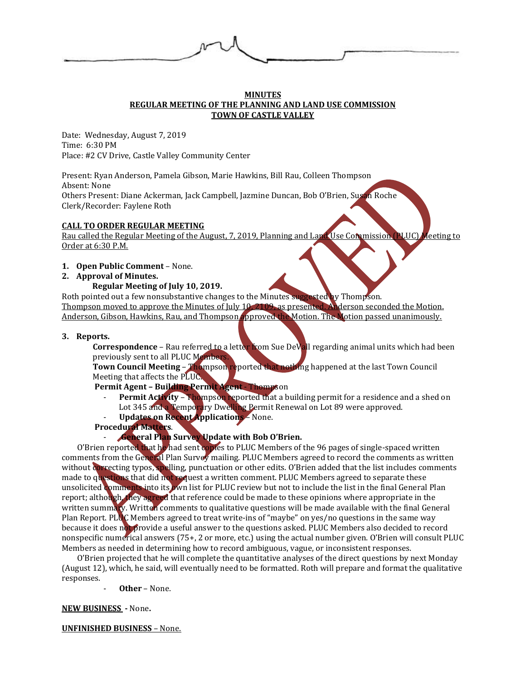

#### **MINUTES REGULAR MEETING OF THE PLANNING AND LAND USE COMMISSION TOWN OF CASTLE VALLEY**

Date: Wednesday, August 7, 2019 Time: 6:30 PM Place: #2 CV Drive, Castle Valley Community Center

Present: Ryan Anderson, Pamela Gibson, Marie Hawkins, Bill Rau, Colleen Thompson Absent: None Others Present: Diane Ackerman, Jack Campbell, Jazmine Duncan, Bob O'Brien, Susan Roche Clerk/Recorder: Faylene Roth

# **CALL TO ORDER REGULAR MEETING**

Rau called the Regular Meeting of the August, 7, 2019, Planning and Land Use Commission (PLUC) Meeting to Order at 6:30 P.M.

**1. Open Public Comment** – None.

# **2. Approval of Minutes.**

# **Regular Meeting of July 10, 2019.**

Roth pointed out a few nonsubstantive changes to the Minutes suggested by Thompson. Thompson moved to approve the Minutes of July 10, 2109, as presented. Anderson seconded the Motion. Anderson, Gibson, Hawkins, Rau, and Thompson approved the Motion. The Motion passed unanimously.

### **3. Reports.**

Correspondence - Rau referred to a letter from Sue DeVall regarding animal units which had been previously sent to all PLUC Members

**Town Council Meeting** – Thompson reported that nothing happened at the last Town Council Meeting that affects the PLUC.

**Permit Agent – Building Permit Agent** - Thompson

- Permit Activity Thompson reported that a building permit for a residence and a shed on Lot 345 and a Temporary Dwelling Permit Renewal on Lot 89 were approved.
- **Updates on Recent Applications** None.
- **Procedural Matters**.

# - **General Plan Survey Update with Bob O'Brien.**

O'Brien reported that he had sent copies to PLUC Members of the 96 pages of single-spaced written comments from the General Plan Survey mailing. PLUC Members agreed to record the comments as written without correcting typos, spelling, punctuation or other edits. O'Brien added that the list includes comments made to questions that did not request a written comment. PLUC Members agreed to separate these unsolicited comments into its own list for PLUC review but not to include the list in the final General Plan report; although, they agreed that reference could be made to these opinions where appropriate in the written summary. Written comments to qualitative questions will be made available with the final General Plan Report. PLUC Members agreed to treat write-ins of "maybe" on yes/no questions in the same way because it does not provide a useful answer to the questions asked. PLUC Members also decided to record nonspecific numerical answers (75+, 2 or more, etc.) using the actual number given. O'Brien will consult PLUC Members as needed in determining how to record ambiguous, vague, or inconsistent responses.

O'Brien projected that he will complete the quantitative analyses of the direct questions by next Monday (August 12), which, he said, will eventually need to be formatted. Roth will prepare and format the qualitative responses.

- **Other** – None.

### **NEW BUSINESS -** None**.**

**UNFINISHED BUSINESS** – None.